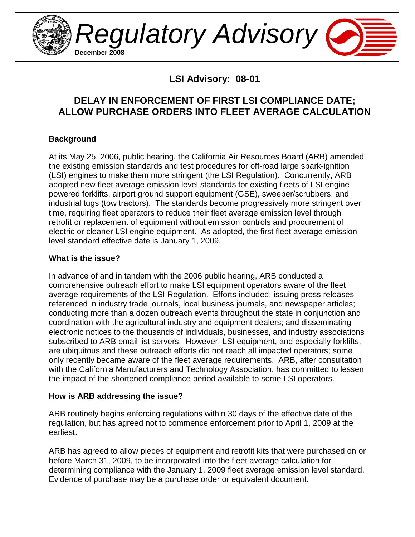

Regulatory Advisory **December 2008**

**LSI Advisory: 08-01** 

# **DELAY IN ENFORCEMENT OF FIRST LSI COMPLIANCE DATE; ALLOW PURCHASE ORDERS INTO FLEET AVERAGE CALCULATION**

## **Background**

At its May 25, 2006, public hearing, the California Air Resources Board (ARB) amended the existing emission standards and test procedures for off-road large spark-ignition (LSI) engines to make them more stringent (the LSI Regulation). Concurrently, ARB adopted new fleet average emission level standards for existing fleets of LSI enginepowered forklifts, airport ground support equipment (GSE), sweeper/scrubbers, and industrial tugs (tow tractors). The standards become progressively more stringent over time, requiring fleet operators to reduce their fleet average emission level through retrofit or replacement of equipment without emission controls and procurement of electric or cleaner LSI engine equipment. As adopted, the first fleet average emission level standard effective date is January 1, 2009.

### **What is the issue?**

In advance of and in tandem with the 2006 public hearing, ARB conducted a comprehensive outreach effort to make LSI equipment operators aware of the fleet average requirements of the LSI Regulation. Efforts included: issuing press releases referenced in industry trade journals, local business journals, and newspaper articles; conducting more than a dozen outreach events throughout the state in conjunction and coordination with the agricultural industry and equipment dealers; and disseminating electronic notices to the thousands of individuals, businesses, and industry associations subscribed to ARB email list servers. However, LSI equipment, and especially forklifts, are ubiquitous and these outreach efforts did not reach all impacted operators; some only recently became aware of the fleet average requirements. ARB, after consultation with the California Manufacturers and Technology Association, has committed to lessen the impact of the shortened compliance period available to some LSI operators.

### **How is ARB addressing the issue?**

ARB routinely begins enforcing regulations within 30 days of the effective date of the regulation, but has agreed not to commence enforcement prior to April 1, 2009 at the earliest.

ARB has agreed to allow pieces of equipment and retrofit kits that were purchased on or before March 31, 2009, to be incorporated into the fleet average calculation for determining compliance with the January 1, 2009 fleet average emission level standard. Evidence of purchase may be a purchase order or equivalent document.